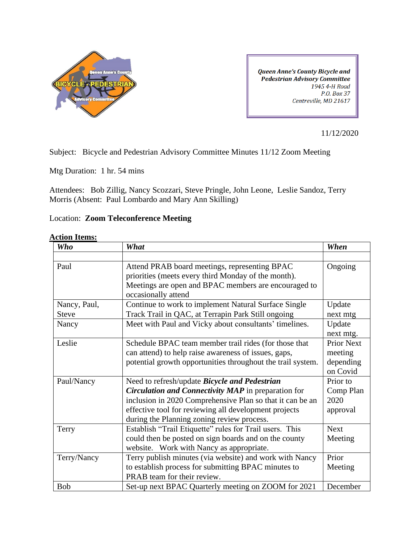

**Queen Anne's County Bicycle and** Pedestrian Advisory Committee 1945 4-H Road P.O. Box 37 Centreville, MD 21617

11/12/2020

Subject: Bicycle and Pedestrian Advisory Committee Minutes 11/12 Zoom Meeting

Mtg Duration: 1 hr. 54 mins

Attendees: Bob Zillig, Nancy Scozzari, Steve Pringle, John Leone, Leslie Sandoz, Terry Morris (Absent: Paul Lombardo and Mary Ann Skilling)

## Location: **Zoom Teleconference Meeting**

## **Action Items:**

| <b>Who</b>   | What                                                                                                                                                                                | When                  |
|--------------|-------------------------------------------------------------------------------------------------------------------------------------------------------------------------------------|-----------------------|
|              |                                                                                                                                                                                     |                       |
| Paul         | Attend PRAB board meetings, representing BPAC<br>priorities (meets every third Monday of the month).<br>Meetings are open and BPAC members are encouraged to<br>occasionally attend | Ongoing               |
| Nancy, Paul, | Continue to work to implement Natural Surface Single                                                                                                                                | Update                |
| <b>Steve</b> | Track Trail in QAC, at Terrapin Park Still ongoing                                                                                                                                  | next mtg              |
| Nancy        | Meet with Paul and Vicky about consultants' timelines.                                                                                                                              | Update<br>next mtg.   |
| Leslie       | Schedule BPAC team member trail rides (for those that                                                                                                                               | <b>Prior Next</b>     |
|              | can attend) to help raise awareness of issues, gaps,                                                                                                                                | meeting               |
|              | potential growth opportunities throughout the trail system.                                                                                                                         | depending<br>on Covid |
| Paul/Nancy   | Need to refresh/update Bicycle and Pedestrian                                                                                                                                       | Prior to              |
|              | <b>Circulation and Connectivity MAP</b> in preparation for                                                                                                                          | Comp Plan             |
|              | inclusion in 2020 Comprehensive Plan so that it can be an                                                                                                                           | 2020                  |
|              | effective tool for reviewing all development projects                                                                                                                               | approval              |
|              | during the Planning zoning review process.                                                                                                                                          |                       |
| Terry        | Establish "Trail Etiquette" rules for Trail users. This                                                                                                                             | <b>Next</b>           |
|              | could then be posted on sign boards and on the county                                                                                                                               | Meeting               |
|              | website. Work with Nancy as appropriate.                                                                                                                                            |                       |
| Terry/Nancy  | Terry publish minutes (via website) and work with Nancy                                                                                                                             | Prior                 |
|              | to establish process for submitting BPAC minutes to                                                                                                                                 | Meeting               |
|              | PRAB team for their review.                                                                                                                                                         |                       |
| <b>Bob</b>   | Set-up next BPAC Quarterly meeting on ZOOM for 2021                                                                                                                                 | December              |